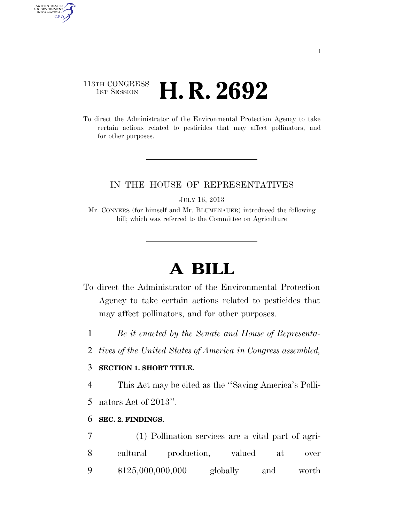## 113TH CONGRESS **1st Session H. R. 2692**

AUTHENTICATED<br>U.S. GOVERNMENT<br>INFORMATION

GPO

To direct the Administrator of the Environmental Protection Agency to take certain actions related to pesticides that may affect pollinators, and for other purposes.

### IN THE HOUSE OF REPRESENTATIVES

JULY 16, 2013

Mr. CONYERS (for himself and Mr. BLUMENAUER) introduced the following bill; which was referred to the Committee on Agriculture

# **A BILL**

- To direct the Administrator of the Environmental Protection Agency to take certain actions related to pesticides that may affect pollinators, and for other purposes.
	- 1 *Be it enacted by the Senate and House of Representa-*
	- 2 *tives of the United States of America in Congress assembled,*

### 3 **SECTION 1. SHORT TITLE.**

4 This Act may be cited as the ''Saving America's Polli-

5 nators Act of 2013''.

#### 6 **SEC. 2. FINDINGS.**

7 (1) Pollination services are a vital part of agri-8 cultural production, valued at over 9 \$125,000,000,000 globally and worth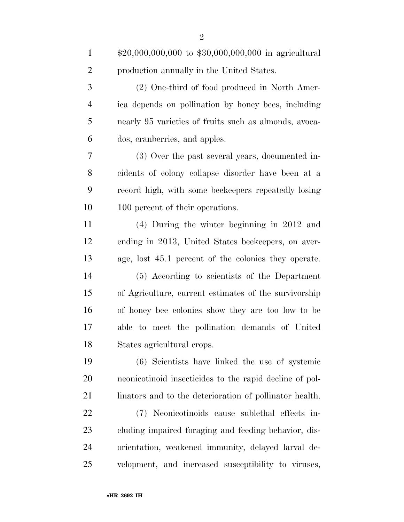| $\mathbf{1}$   | $$20,000,000,000$ to $$30,000,000,000$ in agricultural  |
|----------------|---------------------------------------------------------|
| $\overline{2}$ | production annually in the United States.               |
| 3              | (2) One-third of food produced in North Amer-           |
| $\overline{4}$ | ica depends on pollination by honey bees, including     |
| 5              | nearly 95 varieties of fruits such as almonds, avoca-   |
| 6              | dos, cranberries, and apples.                           |
| 7              | (3) Over the past several years, documented in-         |
| 8              | cidents of colony collapse disorder have been at a      |
| 9              | record high, with some beekeepers repeatedly losing     |
| 10             | 100 percent of their operations.                        |
| 11             | $(4)$ During the winter beginning in 2012 and           |
| 12             | ending in 2013, United States beekeepers, on aver-      |
| 13             | age, lost 45.1 percent of the colonies they operate.    |
| 14             | (5) According to scientists of the Department           |
| 15             | of Agriculture, current estimates of the survivorship   |
| 16             | of honey bee colonies show they are too low to be       |
| 17             | able to meet the pollination demands of United          |
| 18             | States agricultural crops.                              |
| 19             | (6) Scientists have linked the use of systemic          |
| 20             | neonicotinoid insecticides to the rapid decline of pol- |
| 21             | linators and to the deterioration of pollinator health. |
| 22             | (7) Neonicotinoids cause sublethal effects in-          |
| 23             | cluding impaired foraging and feeding behavior, dis-    |
| 24             | orientation, weakened immunity, delayed larval de-      |
| 25             | velopment, and increased susceptibility to viruses,     |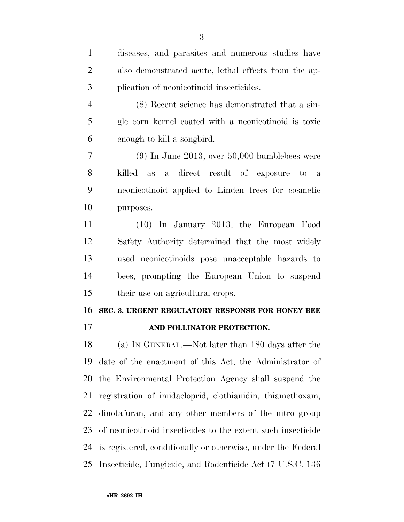| $\mathbf{1}$   | diseases, and parasites and numerous studies have            |
|----------------|--------------------------------------------------------------|
| $\overline{2}$ | also demonstrated acute, lethal effects from the ap-         |
| 3              | plication of neonicotinoid insecticides.                     |
| $\overline{4}$ | (8) Recent science has demonstrated that a sin-              |
| 5              | gle corn kernel coated with a neonicotinoid is toxic         |
| 6              | enough to kill a songbird.                                   |
| 7              | $(9)$ In June 2013, over 50,000 bumblebees were              |
| 8              | killed as a direct result of exposure to a                   |
| 9              | neonicotinoid applied to Linden trees for cosmetic           |
| 10             | purposes.                                                    |
| 11             | (10) In January 2013, the European Food                      |
| 12             | Safety Authority determined that the most widely             |
| 13             | used neonicotinoids pose unacceptable hazards to             |
| 14             | bees, prompting the European Union to suspend                |
| 15             | their use on agricultural crops.                             |
| 16             | SEC. 3. URGENT REGULATORY RESPONSE FOR HONEY BEE             |
| 17             | AND POLLINATOR PROTECTION.                                   |
| 18             | (a) IN GENERAL.—Not later than 180 days after the            |
| 19             | date of the enactment of this Act, the Administrator of      |
| 20             | the Environmental Protection Agency shall suspend the        |
| 21             | registration of imidaeloprid, elothianidin, thiamethoxam,    |
| 22             | dinotaturan, and any other members of the nitro group        |
| 23             | of neonicotinoid insecticides to the extent such insecticide |
| 24             | is registered, conditionally or otherwise, under the Federal |
| 25             | Insecticide, Fungicide, and Rodenticide Act (7 U.S.C. 136)   |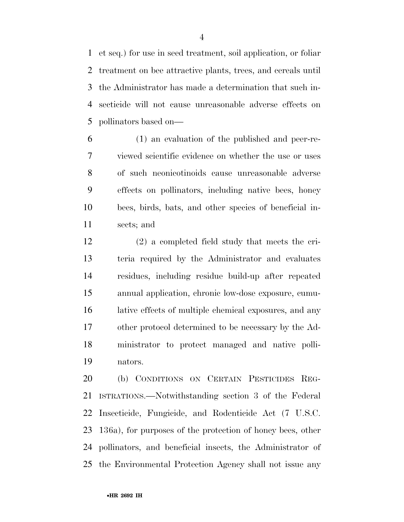et seq.) for use in seed treatment, soil application, or foliar treatment on bee attractive plants, trees, and cereals until the Administrator has made a determination that such in- secticide will not cause unreasonable adverse effects on pollinators based on—

 (1) an evaluation of the published and peer-re- viewed scientific evidence on whether the use or uses of such neonicotinoids cause unreasonable adverse effects on pollinators, including native bees, honey bees, birds, bats, and other species of beneficial in-sects; and

 (2) a completed field study that meets the cri- teria required by the Administrator and evaluates residues, including residue build-up after repeated annual application, chronic low-dose exposure, cumu- lative effects of multiple chemical exposures, and any other protocol determined to be necessary by the Ad- ministrator to protect managed and native polli-nators.

 (b) CONDITIONS ON CERTAIN PESTICIDES REG- ISTRATIONS.—Notwithstanding section 3 of the Federal Insecticide, Fungicide, and Rodenticide Act (7 U.S.C. 136a), for purposes of the protection of honey bees, other pollinators, and beneficial insects, the Administrator of the Environmental Protection Agency shall not issue any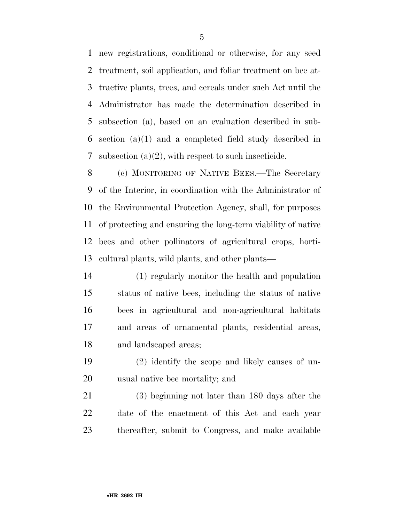new registrations, conditional or otherwise, for any seed treatment, soil application, and foliar treatment on bee at- tractive plants, trees, and cereals under such Act until the Administrator has made the determination described in subsection (a), based on an evaluation described in sub- section (a)(1) and a completed field study described in subsection (a)(2), with respect to such insecticide.

 (c) MONITORING OF NATIVE BEES.—The Secretary of the Interior, in coordination with the Administrator of the Environmental Protection Agency, shall, for purposes of protecting and ensuring the long-term viability of native bees and other pollinators of agricultural crops, horti-cultural plants, wild plants, and other plants—

- (1) regularly monitor the health and population status of native bees, including the status of native bees in agricultural and non-agricultural habitats and areas of ornamental plants, residential areas, and landscaped areas;
- (2) identify the scope and likely causes of un-usual native bee mortality; and

 (3) beginning not later than 180 days after the date of the enactment of this Act and each year thereafter, submit to Congress, and make available